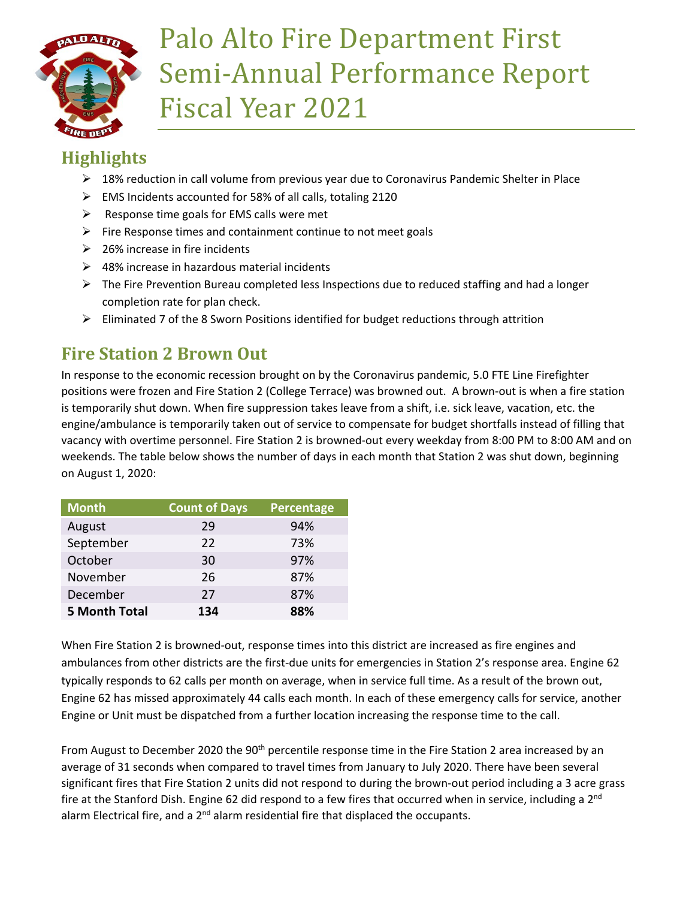

# Palo Alto Fire Department First Semi-Annual Performance Report Fiscal Year 2021

# **Highlights**

- ▶ 18% reduction in call volume from previous year due to Coronavirus Pandemic Shelter in Place
- EMS Incidents accounted for 58% of all calls, totaling 2120
- $\triangleright$  Response time goals for EMS calls were met
- $\triangleright$  Fire Response times and containment continue to not meet goals
- $\geq$  26% increase in fire incidents
- $\geq$  48% increase in hazardous material incidents
- $\triangleright$  The Fire Prevention Bureau completed less Inspections due to reduced staffing and had a longer completion rate for plan check.
- $\triangleright$  Eliminated 7 of the 8 Sworn Positions identified for budget reductions through attrition

# **Fire Station 2 Brown Out**

In response to the economic recession brought on by the Coronavirus pandemic, 5.0 FTE Line Firefighter positions were frozen and Fire Station 2 (College Terrace) was browned out. A brown-out is when a fire station is temporarily shut down. When fire suppression takes leave from a shift, i.e. sick leave, vacation, etc. the engine/ambulance is temporarily taken out of service to compensate for budget shortfalls instead of filling that vacancy with overtime personnel. Fire Station 2 is browned-out every weekday from 8:00 PM to 8:00 AM and on weekends. The table below shows the number of days in each month that Station 2 was shut down, beginning on August 1, 2020:

| <b>Month</b>         | <b>Count of Days</b> | <b>Percentage</b> |
|----------------------|----------------------|-------------------|
| August               | 29                   | 94%               |
| September            | 22                   | 73%               |
| October              | 30                   | 97%               |
| November             | 26                   | 87%               |
| December             | 27                   | 87%               |
| <b>5 Month Total</b> | 134                  | 88%               |

When Fire Station 2 is browned-out, response times into this district are increased as fire engines and ambulances from other districts are the first-due units for emergencies in Station 2's response area. Engine 62 typically responds to 62 calls per month on average, when in service full time. As a result of the brown out, Engine 62 has missed approximately 44 calls each month. In each of these emergency calls for service, another Engine or Unit must be dispatched from a further location increasing the response time to the call.

From August to December 2020 the 90<sup>th</sup> percentile response time in the Fire Station 2 area increased by an average of 31 seconds when compared to travel times from January to July 2020. There have been several significant fires that Fire Station 2 units did not respond to during the brown-out period including a 3 acre grass fire at the Stanford Dish. Engine 62 did respond to a few fires that occurred when in service, including a 2<sup>nd</sup> alarm Electrical fire, and a  $2<sup>nd</sup>$  alarm residential fire that displaced the occupants.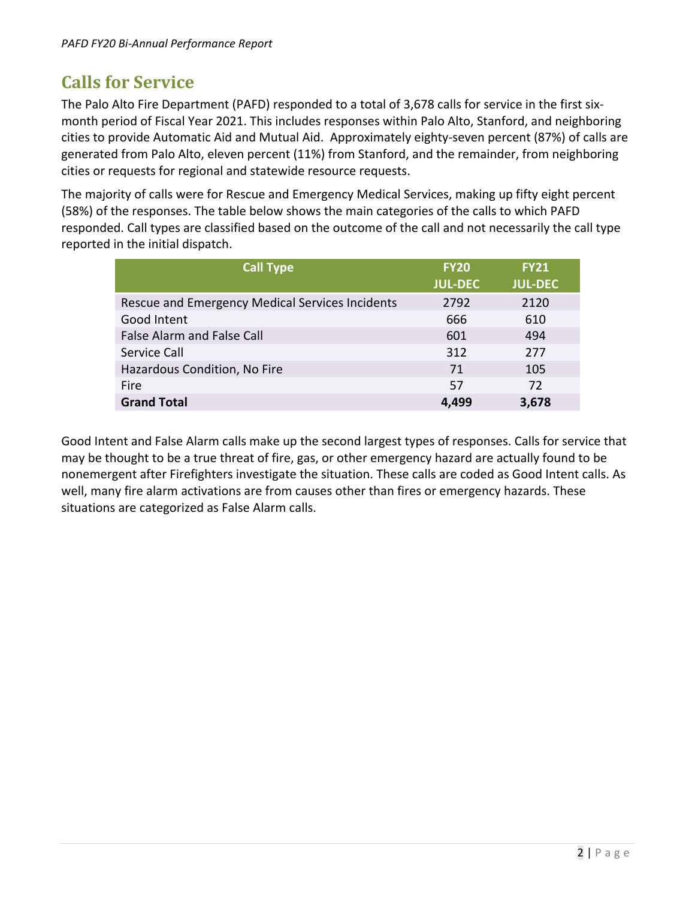## **Calls for Service**

The Palo Alto Fire Department (PAFD) responded to a total of 3,678 calls for service in the first sixmonth period of Fiscal Year 2021. This includes responses within Palo Alto, Stanford, and neighboring cities to provide Automatic Aid and Mutual Aid. Approximately eighty-seven percent (87%) of calls are generated from Palo Alto, eleven percent (11%) from Stanford, and the remainder, from neighboring cities or requests for regional and statewide resource requests.

The majority of calls were for Rescue and Emergency Medical Services, making up fifty eight percent (58%) of the responses. The table below shows the main categories of the calls to which PAFD responded. Call types are classified based on the outcome of the call and not necessarily the call type reported in the initial dispatch.

| <b>Call Type</b>                                | <b>FY20</b>    | <b>FY21</b>    |
|-------------------------------------------------|----------------|----------------|
|                                                 | <b>JUL-DEC</b> | <b>JUL-DEC</b> |
| Rescue and Emergency Medical Services Incidents | 2792           | 2120           |
| Good Intent                                     | 666            | 610            |
| False Alarm and False Call                      | 601            | 494            |
| Service Call                                    | 312            | 277            |
| Hazardous Condition, No Fire                    | 71             | 105            |
| Fire                                            | .57            | 72             |
| <b>Grand Total</b>                              | 4,499          | 3,678          |

Good Intent and False Alarm calls make up the second largest types of responses. Calls for service that may be thought to be a true threat of fire, gas, or other emergency hazard are actually found to be nonemergent after Firefighters investigate the situation. These calls are coded as Good Intent calls. As well, many fire alarm activations are from causes other than fires or emergency hazards. These situations are categorized as False Alarm calls.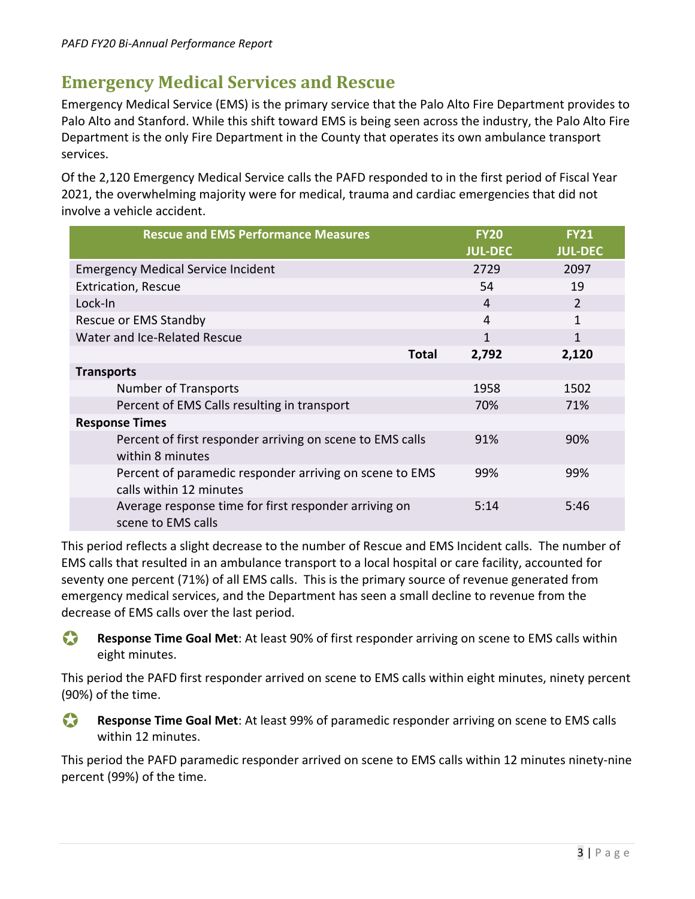#### **Emergency Medical Services and Rescue**

Emergency Medical Service (EMS) is the primary service that the Palo Alto Fire Department provides to Palo Alto and Stanford. While this shift toward EMS is being seen across the industry, the Palo Alto Fire Department is the only Fire Department in the County that operates its own ambulance transport services.

Of the 2,120 Emergency Medical Service calls the PAFD responded to in the first period of Fiscal Year 2021, the overwhelming majority were for medical, trauma and cardiac emergencies that did not involve a vehicle accident.

| <b>Rescue and EMS Performance Measures</b>                                         | <b>FY20</b>    | <b>FY21</b>    |
|------------------------------------------------------------------------------------|----------------|----------------|
|                                                                                    | <b>JUL-DEC</b> | <b>JUL-DEC</b> |
| <b>Emergency Medical Service Incident</b>                                          | 2729           | 2097           |
| <b>Extrication, Rescue</b>                                                         | 54             | 19             |
| Lock-In                                                                            | 4              | $\overline{2}$ |
| Rescue or EMS Standby                                                              | 4              | 1              |
| Water and Ice-Related Rescue                                                       | 1              | 1              |
| <b>Total</b>                                                                       | 2,792          | 2,120          |
| <b>Transports</b>                                                                  |                |                |
| <b>Number of Transports</b>                                                        | 1958           | 1502           |
| Percent of EMS Calls resulting in transport                                        | 70%            | 71%            |
| <b>Response Times</b>                                                              |                |                |
| Percent of first responder arriving on scene to EMS calls<br>within 8 minutes      | 91%            | 90%            |
| Percent of paramedic responder arriving on scene to EMS<br>calls within 12 minutes | 99%            | 99%            |
| Average response time for first responder arriving on<br>scene to EMS calls        | 5:14           | 5:46           |

This period reflects a slight decrease to the number of Rescue and EMS Incident calls. The number of EMS calls that resulted in an ambulance transport to a local hospital or care facility, accounted for seventy one percent (71%) of all EMS calls. This is the primary source of revenue generated from emergency medical services, and the Department has seen a small decline to revenue from the decrease of EMS calls over the last period.

**Response Time Goal Met**: At least 90% of first responder arriving on scene to EMS calls within eight minutes.

This period the PAFD first responder arrived on scene to EMS calls within eight minutes, ninety percent (90%) of the time.

 **Response Time Goal Met**: At least 99% of paramedic responder arriving on scene to EMS calls within 12 minutes.

This period the PAFD paramedic responder arrived on scene to EMS calls within 12 minutes ninety-nine percent (99%) of the time.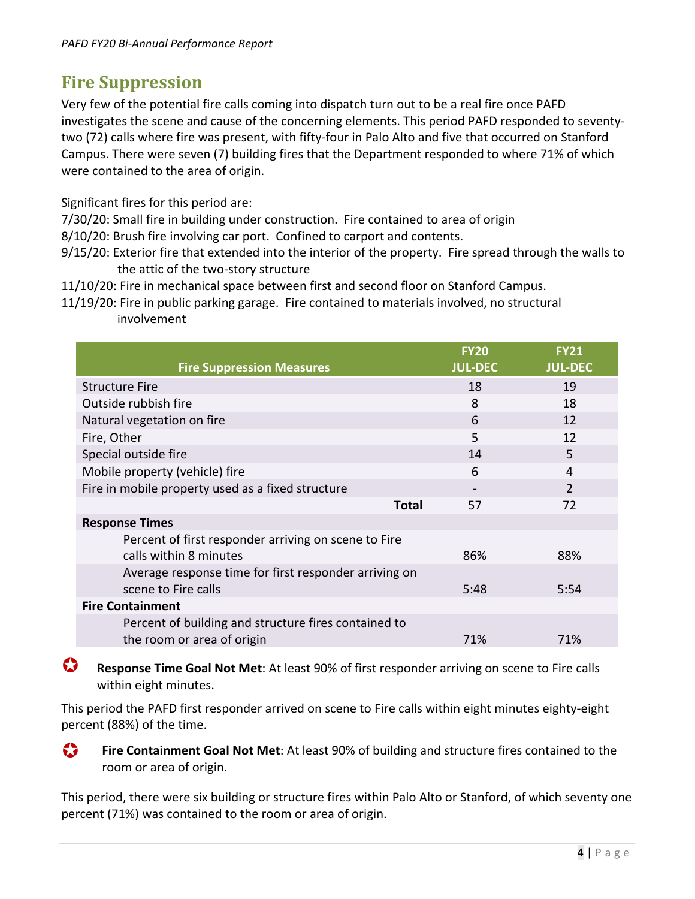#### **Fire Suppression**

Very few of the potential fire calls coming into dispatch turn out to be a real fire once PAFD investigates the scene and cause of the concerning elements. This period PAFD responded to seventytwo (72) calls where fire was present, with fifty-four in Palo Alto and five that occurred on Stanford Campus. There were seven (7) building fires that the Department responded to where 71% of which were contained to the area of origin.

Significant fires for this period are:

- 7/30/20: Small fire in building under construction. Fire contained to area of origin
- 8/10/20: Brush fire involving car port. Confined to carport and contents.
- 9/15/20: Exterior fire that extended into the interior of the property. Fire spread through the walls to the attic of the two-story structure
- 11/10/20: Fire in mechanical space between first and second floor on Stanford Campus.
- 11/19/20: Fire in public parking garage. Fire contained to materials involved, no structural involvement

|                                                       | <b>FY20</b>    | <b>FY21</b>    |
|-------------------------------------------------------|----------------|----------------|
| <b>Fire Suppression Measures</b>                      | <b>JUL-DEC</b> | <b>JUL-DEC</b> |
| <b>Structure Fire</b>                                 | 18             | 19             |
| Outside rubbish fire                                  | 8              | 18             |
| Natural vegetation on fire                            | 6              | 12             |
| Fire, Other                                           | 5              | 12             |
| Special outside fire                                  | 14             | 5              |
| Mobile property (vehicle) fire                        | 6              | 4              |
| Fire in mobile property used as a fixed structure     |                | $\mathcal{P}$  |
| Total                                                 | 57             | 72             |
| <b>Response Times</b>                                 |                |                |
| Percent of first responder arriving on scene to Fire  |                |                |
| calls within 8 minutes                                | 86%            | 88%            |
| Average response time for first responder arriving on |                |                |
| scene to Fire calls                                   | 5:48           | 5:54           |
| <b>Fire Containment</b>                               |                |                |
| Percent of building and structure fires contained to  |                |                |
| the room or area of origin                            | 71%            | 71%            |

 **Response Time Goal Not Met**: At least 90% of first responder arriving on scene to Fire calls within eight minutes.

This period the PAFD first responder arrived on scene to Fire calls within eight minutes eighty-eight percent (88%) of the time.

**Fire Containment Goal Not Met**: At least 90% of building and structure fires contained to the room or area of origin.

This period, there were six building or structure fires within Palo Alto or Stanford, of which seventy one percent (71%) was contained to the room or area of origin.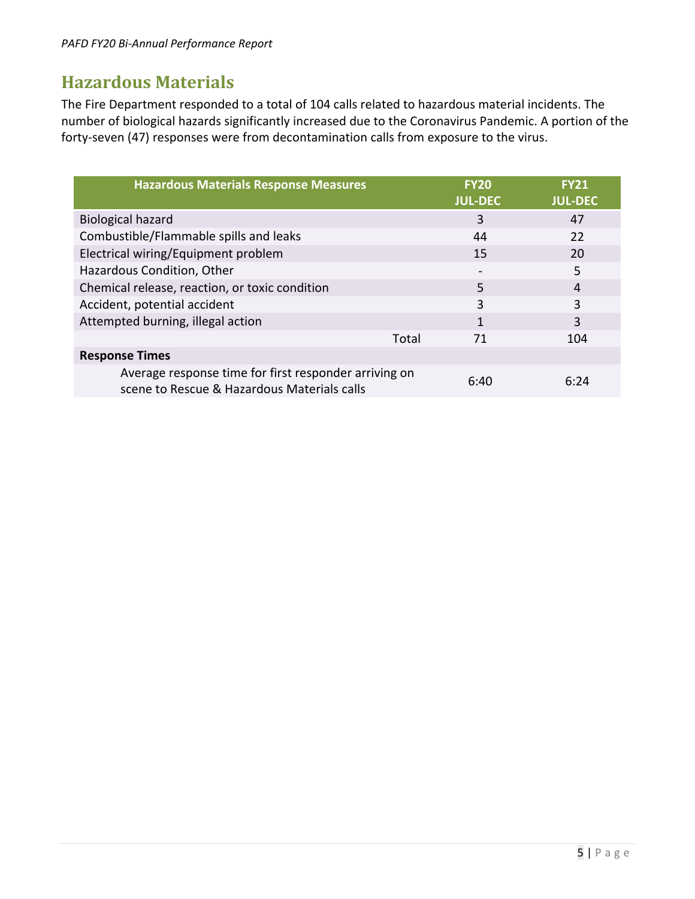#### **Hazardous Materials**

The Fire Department responded to a total of 104 calls related to hazardous material incidents. The number of biological hazards significantly increased due to the Coronavirus Pandemic. A portion of the forty-seven (47) responses were from decontamination calls from exposure to the virus.

| <b>Hazardous Materials Response Measures</b>                                                         | <b>FY20</b><br><b>JUL-DEC</b> | <b>FY21</b><br><b>JUL-DEC</b> |
|------------------------------------------------------------------------------------------------------|-------------------------------|-------------------------------|
| <b>Biological hazard</b>                                                                             | 3                             | 47                            |
| Combustible/Flammable spills and leaks                                                               | 44                            | 22                            |
| Electrical wiring/Equipment problem                                                                  | 15                            | 20                            |
| Hazardous Condition, Other                                                                           | $\overline{\phantom{0}}$      | 5                             |
| Chemical release, reaction, or toxic condition                                                       | 5                             | 4                             |
| Accident, potential accident                                                                         | 3                             | 3                             |
| Attempted burning, illegal action                                                                    | 1                             | 3                             |
| Total                                                                                                | 71                            | 104                           |
| <b>Response Times</b>                                                                                |                               |                               |
| Average response time for first responder arriving on<br>scene to Rescue & Hazardous Materials calls | 6:40                          | 6:24                          |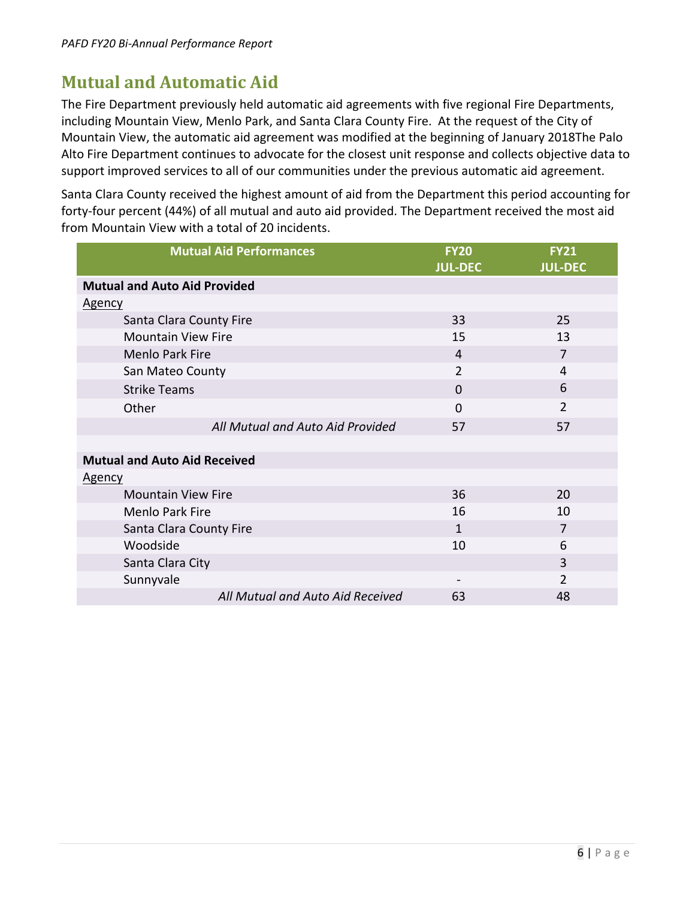## **Mutual and Automatic Aid**

The Fire Department previously held automatic aid agreements with five regional Fire Departments, including Mountain View, Menlo Park, and Santa Clara County Fire. At the request of the City of Mountain View, the automatic aid agreement was modified at the beginning of January 2018The Palo Alto Fire Department continues to advocate for the closest unit response and collects objective data to support improved services to all of our communities under the previous automatic aid agreement.

Santa Clara County received the highest amount of aid from the Department this period accounting for forty-four percent (44%) of all mutual and auto aid provided. The Department received the most aid from Mountain View with a total of 20 incidents.

| <b>Mutual Aid Performances</b>      | <b>FY20</b>    | <b>FY21</b>    |
|-------------------------------------|----------------|----------------|
|                                     | <b>JUL-DEC</b> | <b>JUL-DEC</b> |
| <b>Mutual and Auto Aid Provided</b> |                |                |
| <b>Agency</b>                       |                |                |
| Santa Clara County Fire             | 33             | 25             |
| <b>Mountain View Fire</b>           | 15             | 13             |
| <b>Menlo Park Fire</b>              | 4              | 7              |
| San Mateo County                    | $\overline{2}$ | 4              |
| <b>Strike Teams</b>                 | $\Omega$       | 6              |
| Other                               | $\Omega$       | $\overline{2}$ |
| All Mutual and Auto Aid Provided    | 57             | 57             |
|                                     |                |                |
| <b>Mutual and Auto Aid Received</b> |                |                |
| <u>Agency</u>                       |                |                |
| <b>Mountain View Fire</b>           | 36             | 20             |
| <b>Menlo Park Fire</b>              | 16             | 10             |
| Santa Clara County Fire             | $\mathbf{1}$   | 7              |
| Woodside                            | 10             | 6              |
| Santa Clara City                    |                | 3              |
| Sunnyvale                           |                | $\overline{2}$ |
| All Mutual and Auto Aid Received    | 63             | 48             |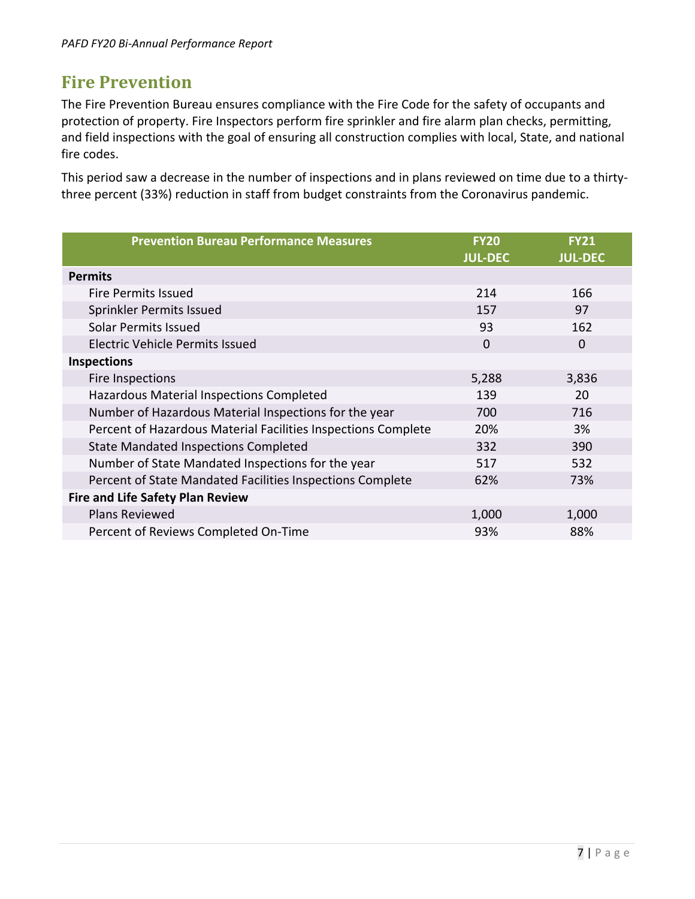#### **Fire Prevention**

The Fire Prevention Bureau ensures compliance with the Fire Code for the safety of occupants and protection of property. Fire Inspectors perform fire sprinkler and fire alarm plan checks, permitting, and field inspections with the goal of ensuring all construction complies with local, State, and national fire codes.

This period saw a decrease in the number of inspections and in plans reviewed on time due to a thirtythree percent (33%) reduction in staff from budget constraints from the Coronavirus pandemic.

| <b>Prevention Bureau Performance Measures</b>                 | <b>FY20</b><br><b>JUL-DEC</b> | <b>FY21</b><br><b>JUL-DEC</b> |
|---------------------------------------------------------------|-------------------------------|-------------------------------|
| <b>Permits</b>                                                |                               |                               |
| <b>Fire Permits Issued</b>                                    | 214                           | 166                           |
| Sprinkler Permits Issued                                      | 157                           | 97                            |
| Solar Permits Issued                                          | 93                            | 162                           |
| <b>Electric Vehicle Permits Issued</b>                        | $\mathbf 0$                   | 0                             |
| <b>Inspections</b>                                            |                               |                               |
| Fire Inspections                                              | 5,288                         | 3,836                         |
| Hazardous Material Inspections Completed                      | 139                           | 20                            |
| Number of Hazardous Material Inspections for the year         | 700                           | 716                           |
| Percent of Hazardous Material Facilities Inspections Complete | 20%                           | 3%                            |
| <b>State Mandated Inspections Completed</b>                   | 332                           | 390                           |
| Number of State Mandated Inspections for the year             | 517                           | 532                           |
| Percent of State Mandated Facilities Inspections Complete     | 62%                           | 73%                           |
| <b>Fire and Life Safety Plan Review</b>                       |                               |                               |
| <b>Plans Reviewed</b>                                         | 1,000                         | 1,000                         |
| Percent of Reviews Completed On-Time                          | 93%                           | 88%                           |